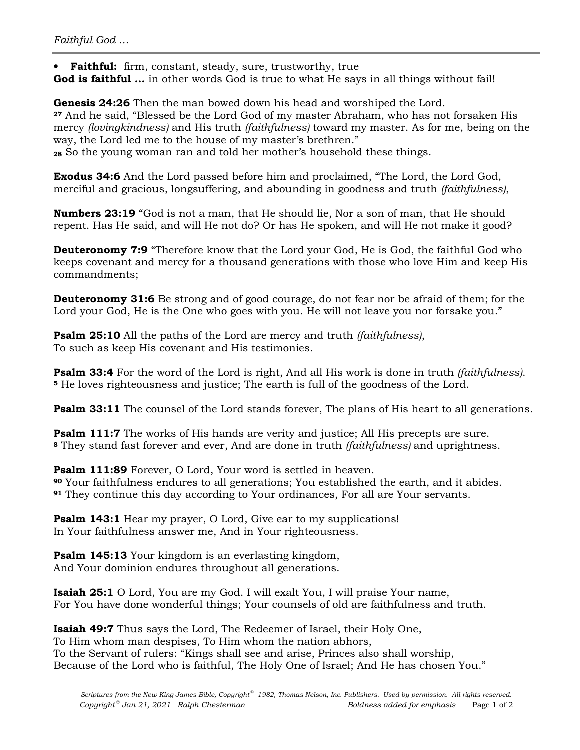• **Faithful:** firm, constant, steady, sure, trustworthy, true

**God is faithful …** in other words God is true to what He says in all things without fail!

**Genesis 24:26** Then the man bowed down his head and worshiped the Lord. **<sup>27</sup>** And he said, "Blessed be the Lord God of my master Abraham, who has not forsaken His mercy *(lovingkindness)* and His truth *(faithfulness)* toward my master. As for me, being on the way, the Lord led me to the house of my master's brethren."

**<sup>28</sup>** So the young woman ran and told her mother's household these things.

**Exodus 34:6** And the Lord passed before him and proclaimed, "The Lord, the Lord God, merciful and gracious, longsuffering, and abounding in goodness and truth *(faithfulness)*,

**Numbers 23:19** "God is not a man, that He should lie, Nor a son of man, that He should repent. Has He said, and will He not do? Or has He spoken, and will He not make it good?

**Deuteronomy 7:9** "Therefore know that the Lord your God, He is God, the faithful God who keeps covenant and mercy for a thousand generations with those who love Him and keep His commandments;

**Deuteronomy 31:6** Be strong and of good courage, do not fear nor be afraid of them; for the Lord your God, He is the One who goes with you. He will not leave you nor forsake you."

**Psalm 25:10** All the paths of the Lord are mercy and truth *(faithfulness)*, To such as keep His covenant and His testimonies.

**Psalm 33:4** For the word of the Lord is right, And all His work is done in truth *(faithfulness)*. **<sup>5</sup>** He loves righteousness and justice; The earth is full of the goodness of the Lord.

**Psalm 33:11** The counsel of the Lord stands forever, The plans of His heart to all generations.

**Psalm 111:7** The works of His hands are verity and justice; All His precepts are sure. **<sup>8</sup>** They stand fast forever and ever, And are done in truth *(faithfulness)* and uprightness.

**Psalm 111:89** Forever, O Lord, Your word is settled in heaven.

**<sup>90</sup>** Your faithfulness endures to all generations; You established the earth, and it abides. **<sup>91</sup>** They continue this day according to Your ordinances, For all are Your servants.

**Psalm 143:1** Hear my prayer, O Lord, Give ear to my supplications! In Your faithfulness answer me, And in Your righteousness.

**Psalm 145:13** Your kingdom is an everlasting kingdom, And Your dominion endures throughout all generations.

**Isaiah 25:1** O Lord, You are my God. I will exalt You, I will praise Your name, For You have done wonderful things; Your counsels of old are faithfulness and truth.

**Isaiah 49:7** Thus says the Lord, The Redeemer of Israel, their Holy One, To Him whom man despises, To Him whom the nation abhors, To the Servant of rulers: "Kings shall see and arise, Princes also shall worship, Because of the Lord who is faithful, The Holy One of Israel; And He has chosen You."